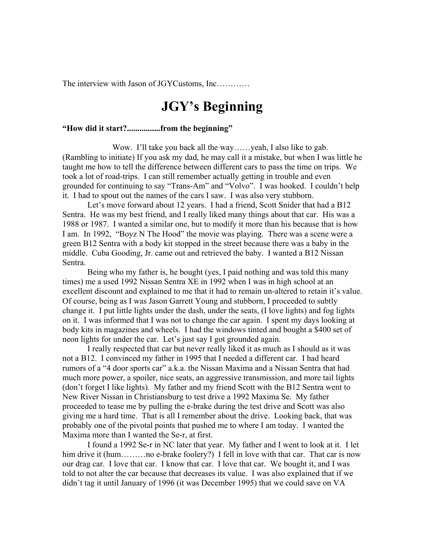The interview with Jason of JGYCustoms, Inc…………

# **JGY's Beginning**

# **"How did it start?................from the beginning"**

Wow. I'll take you back all the way......yeah, I also like to gab. (Rambling to initiate) If you ask my dad, he may call it a mistake, but when I was little he taught me how to tell the difference between different cars to pass the time on trips. We took a lot of road-trips. I can still remember actually getting in trouble and even grounded for continuing to say "Trans-Am" and "Volvo". I was hooked. I couldn't help it. I had to spout out the names of the cars I saw. I was also very stubborn.

 Let's move forward about 12 years. I had a friend, Scott Snider that had a B12 Sentra. He was my best friend, and I really liked many things about that car. His was a 1988 or 1987. I wanted a similar one, but to modify it more than his because that is how I am. In 1992, "Boyz N The Hood" the movie was playing. There was a scene were a green B12 Sentra with a body kit stopped in the street because there was a baby in the middle. Cuba Gooding, Jr. came out and retrieved the baby. I wanted a B12 Nissan Sentra.

 Being who my father is, he bought (yes, I paid nothing and was told this many times) me a used 1992 Nissan Sentra XE in 1992 when I was in high school at an excellent discount and explained to me that it had to remain un-altered to retain it's value. Of course, being as I was Jason Garrett Young and stubborn, I proceeded to subtly change it. I put little lights under the dash, under the seats, (I love lights) and fog lights on it. I was informed that I was not to change the car again. I spent my days looking at body kits in magazines and wheels. I had the windows tinted and bought a \$400 set of neon lights for under the car. Let's just say I got grounded again.

 I really respected that car but never really liked it as much as I should as it was not a B12. I convinced my father in 1995 that I needed a different car. I had heard rumors of a "4 door sports car" a.k.a. the Nissan Maxima and a Nissan Sentra that had much more power, a spoiler, nice seats, an aggressive transmission, and more tail lights (don't forget I like lights). My father and my friend Scott with the B12 Sentra went to New River Nissan in Christiansburg to test drive a 1992 Maxima Se. My father proceeded to tease me by pulling the e-brake during the test drive and Scott was also giving me a hard time. That is all I remember about the drive. Looking back, that was probably one of the pivotal points that pushed me to where I am today. I wanted the Maxima more than I wanted the Se-r, at first.

 I found a 1992 Se-r in NC later that year. My father and I went to look at it. I let him drive it (hum.........no e-brake foolery?) I fell in love with that car. That car is now our drag car. I love that car. I know that car. I love that car. We bought it, and I was told to not alter the car because that decreases its value. I was also explained that if we didn't tag it until January of 1996 (it was December 1995) that we could save on VA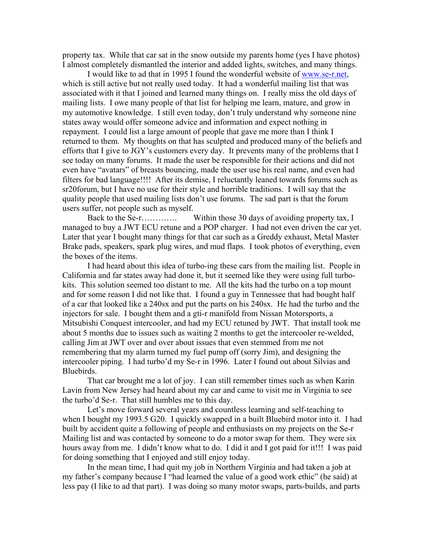property tax. While that car sat in the snow outside my parents home (yes I have photos) I almost completely dismantled the interior and added lights, switches, and many things.

 I would like to ad that in 1995 I found the wonderful website of [www.se-r.net,](http://www.se-r.net/) which is still active but not really used today. It had a wonderful mailing list that was associated with it that I joined and learned many things on. I really miss the old days of mailing lists. I owe many people of that list for helping me learn, mature, and grow in my automotive knowledge. I still even today, don't truly understand why someone nine states away would offer someone advice and information and expect nothing in repayment. I could list a large amount of people that gave me more than I think I returned to them. My thoughts on that has sculpted and produced many of the beliefs and efforts that I give to JGY's customers every day. It prevents many of the problems that I see today on many forums. It made the user be responsible for their actions and did not even have "avatars" of breasts bouncing, made the user use his real name, and even had filters for bad language!!!! After its demise, I reluctantly leaned towards forums such as sr20forum, but I have no use for their style and horrible traditions. I will say that the quality people that used mailing lists don't use forums. The sad part is that the forum users suffer, not people such as myself.

Back to the Se-r…………. Within those 30 days of avoiding property tax, I managed to buy a JWT ECU retune and a POP charger. I had not even driven the car yet. Later that year I bought many things for that car such as a Greddy exhaust, Metal Master Brake pads, speakers, spark plug wires, and mud flaps. I took photos of everything, even the boxes of the items.

 I had heard about this idea of turbo-ing these cars from the mailing list. People in California and far states away had done it, but it seemed like they were using full turbokits. This solution seemed too distant to me. All the kits had the turbo on a top mount and for some reason I did not like that. I found a guy in Tennessee that had bought half of a car that looked like a 240sx and put the parts on his 240sx. He had the turbo and the injectors for sale. I bought them and a gti-r manifold from Nissan Motorsports, a Mitsubishi Conquest intercooler, and had my ECU retuned by JWT. That install took me about 5 months due to issues such as waiting 2 months to get the intercooler re-welded, calling Jim at JWT over and over about issues that even stemmed from me not remembering that my alarm turned my fuel pump off (sorry Jim), and designing the intercooler piping. I had turbo'd my Se-r in 1996. Later I found out about Silvias and Bluebirds.

 That car brought me a lot of joy. I can still remember times such as when Karin Lavin from New Jersey had heard about my car and came to visit me in Virginia to see the turbo'd Se-r. That still humbles me to this day.

 Let's move forward several years and countless learning and self-teaching to when I bought my 1993.5 G20. I quickly swapped in a built Bluebird motor into it. I had built by accident quite a following of people and enthusiasts on my projects on the Se-r Mailing list and was contacted by someone to do a motor swap for them. They were six hours away from me. I didn't know what to do. I did it and I got paid for it!!! I was paid for doing something that I enjoyed and still enjoy today.

In the mean time, I had quit my job in Northern Virginia and had taken a job at my father's company because I "had learned the value of a good work ethic" (he said) at less pay (I like to ad that part). I was doing so many motor swaps, parts-builds, and parts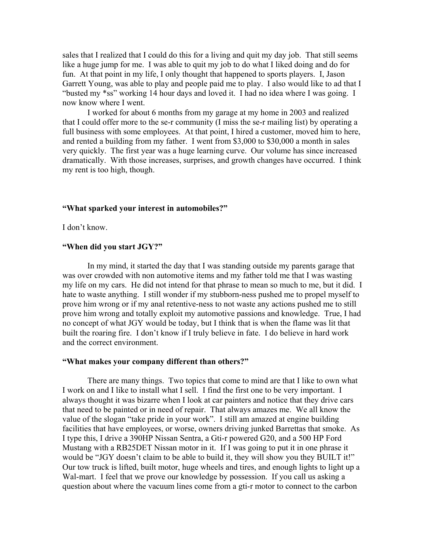sales that I realized that I could do this for a living and quit my day job. That still seems like a huge jump for me. I was able to quit my job to do what I liked doing and do for fun. At that point in my life, I only thought that happened to sports players. I, Jason Garrett Young, was able to play and people paid me to play. I also would like to ad that I "busted my \*ss" working 14 hour days and loved it. I had no idea where I was going. I now know where I went.

I worked for about 6 months from my garage at my home in 2003 and realized that I could offer more to the se-r community (I miss the se-r mailing list) by operating a full business with some employees. At that point, I hired a customer, moved him to here, and rented a building from my father. I went from \$3,000 to \$30,000 a month in sales very quickly. The first year was a huge learning curve. Our volume has since increased dramatically. With those increases, surprises, and growth changes have occurred. I think my rent is too high, though.

## **"What sparked your interest in automobiles?"**

I don't know.

#### **"When did you start JGY?"**

In my mind, it started the day that I was standing outside my parents garage that was over crowded with non automotive items and my father told me that I was wasting my life on my cars. He did not intend for that phrase to mean so much to me, but it did. I hate to waste anything. I still wonder if my stubborn-ness pushed me to propel myself to prove him wrong or if my anal retentive-ness to not waste any actions pushed me to still prove him wrong and totally exploit my automotive passions and knowledge. True, I had no concept of what JGY would be today, but I think that is when the flame was lit that built the roaring fire. I don't know if I truly believe in fate. I do believe in hard work and the correct environment.

### **"What makes your company different than others?"**

There are many things. Two topics that come to mind are that I like to own what I work on and I like to install what I sell. I find the first one to be very important. I always thought it was bizarre when I look at car painters and notice that they drive cars that need to be painted or in need of repair. That always amazes me. We all know the value of the slogan "take pride in your work". I still am amazed at engine building facilities that have employees, or worse, owners driving junked Barrettas that smoke. As I type this, I drive a 390HP Nissan Sentra, a Gti-r powered G20, and a 500 HP Ford Mustang with a RB25DET Nissan motor in it. If I was going to put it in one phrase it would be "JGY doesn't claim to be able to build it, they will show you they BUILT it!" Our tow truck is lifted, built motor, huge wheels and tires, and enough lights to light up a Wal-mart. I feel that we prove our knowledge by possession. If you call us asking a question about where the vacuum lines come from a gti-r motor to connect to the carbon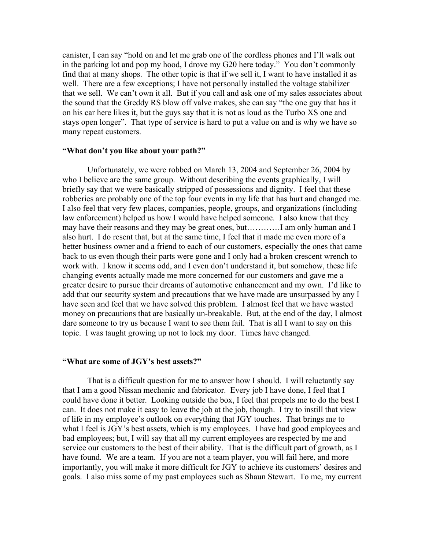canister, I can say "hold on and let me grab one of the cordless phones and I'll walk out in the parking lot and pop my hood, I drove my G20 here today." You don't commonly find that at many shops. The other topic is that if we sell it, I want to have installed it as well. There are a few exceptions; I have not personally installed the voltage stabilizer that we sell. We can't own it all. But if you call and ask one of my sales associates about the sound that the Greddy RS blow off valve makes, she can say "the one guy that has it on his car here likes it, but the guys say that it is not as loud as the Turbo XS one and stays open longer". That type of service is hard to put a value on and is why we have so many repeat customers.

## **"What don't you like about your path?"**

 Unfortunately, we were robbed on March 13, 2004 and September 26, 2004 by who I believe are the same group. Without describing the events graphically, I will briefly say that we were basically stripped of possessions and dignity. I feel that these robberies are probably one of the top four events in my life that has hurt and changed me. I also feel that very few places, companies, people, groups, and organizations (including law enforcement) helped us how I would have helped someone. I also know that they may have their reasons and they may be great ones, but…………I am only human and I also hurt. I do resent that, but at the same time, I feel that it made me even more of a better business owner and a friend to each of our customers, especially the ones that came back to us even though their parts were gone and I only had a broken crescent wrench to work with. I know it seems odd, and I even don't understand it, but somehow, these life changing events actually made me more concerned for our customers and gave me a greater desire to pursue their dreams of automotive enhancement and my own. I'd like to add that our security system and precautions that we have made are unsurpassed by any I have seen and feel that we have solved this problem. I almost feel that we have wasted money on precautions that are basically un-breakable. But, at the end of the day, I almost dare someone to try us because I want to see them fail. That is all I want to say on this topic. I was taught growing up not to lock my door. Times have changed.

#### **"What are some of JGY's best assets?"**

That is a difficult question for me to answer how I should. I will reluctantly say that I am a good Nissan mechanic and fabricator. Every job I have done, I feel that I could have done it better. Looking outside the box, I feel that propels me to do the best I can. It does not make it easy to leave the job at the job, though. I try to instill that view of life in my employee's outlook on everything that JGY touches. That brings me to what I feel is JGY's best assets, which is my employees. I have had good employees and bad employees; but, I will say that all my current employees are respected by me and service our customers to the best of their ability. That is the difficult part of growth, as I have found. We are a team. If you are not a team player, you will fail here, and more importantly, you will make it more difficult for JGY to achieve its customers' desires and goals. I also miss some of my past employees such as Shaun Stewart. To me, my current